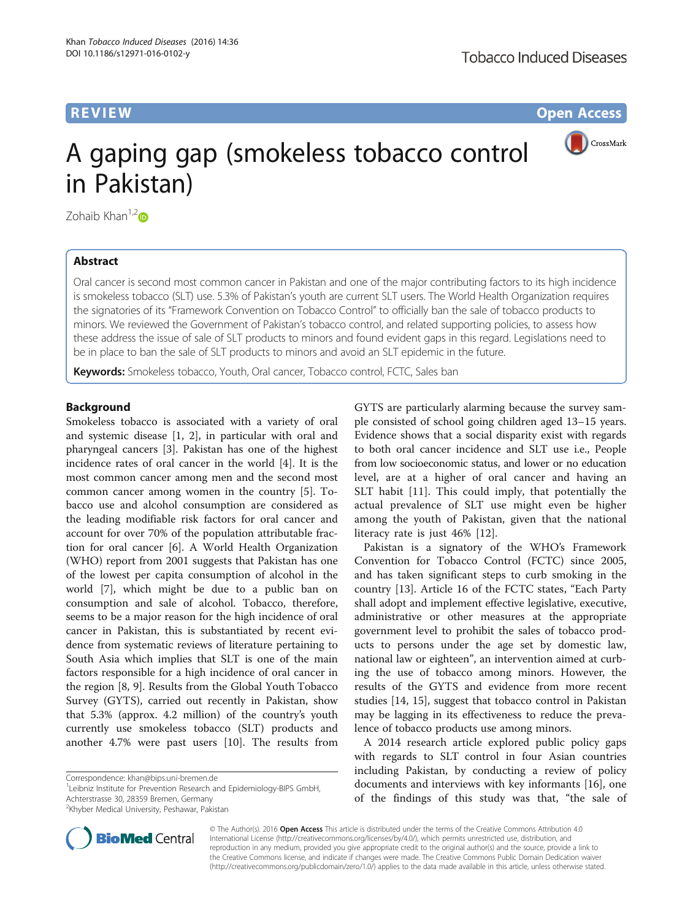**REVIEW CONSTRUCTION CONSTRUCTION CONSTRUCTS** 

CrossMark

# A gaping gap (smokeless tobacco control in Pakistan)

Zohaib Khan $1,2$ 

# Abstract

Oral cancer is second most common cancer in Pakistan and one of the major contributing factors to its high incidence is smokeless tobacco (SLT) use. 5.3% of Pakistan's youth are current SLT users. The World Health Organization requires the signatories of its "Framework Convention on Tobacco Control" to officially ban the sale of tobacco products to minors. We reviewed the Government of Pakistan's tobacco control, and related supporting policies, to assess how these address the issue of sale of SLT products to minors and found evident gaps in this regard. Legislations need to be in place to ban the sale of SLT products to minors and avoid an SLT epidemic in the future.

Keywords: Smokeless tobacco, Youth, Oral cancer, Tobacco control, FCTC, Sales ban

# **Background**

Smokeless tobacco is associated with a variety of oral and systemic disease [\[1](#page-4-0), [2\]](#page-4-0), in particular with oral and pharyngeal cancers [[3\]](#page-4-0). Pakistan has one of the highest incidence rates of oral cancer in the world [\[4](#page-4-0)]. It is the most common cancer among men and the second most common cancer among women in the country [\[5](#page-4-0)]. Tobacco use and alcohol consumption are considered as the leading modifiable risk factors for oral cancer and account for over 70% of the population attributable fraction for oral cancer [\[6\]](#page-4-0). A World Health Organization (WHO) report from 2001 suggests that Pakistan has one of the lowest per capita consumption of alcohol in the world [\[7](#page-4-0)], which might be due to a public ban on consumption and sale of alcohol. Tobacco, therefore, seems to be a major reason for the high incidence of oral cancer in Pakistan, this is substantiated by recent evidence from systematic reviews of literature pertaining to South Asia which implies that SLT is one of the main factors responsible for a high incidence of oral cancer in the region [\[8](#page-4-0), [9](#page-4-0)]. Results from the Global Youth Tobacco Survey (GYTS), carried out recently in Pakistan, show that 5.3% (approx. 4.2 million) of the country's youth currently use smokeless tobacco (SLT) products and another 4.7% were past users [[10](#page-4-0)]. The results from

Correspondence: [khan@bips.uni-bremen.de](mailto:khan@bips.uni-bremen.de) <sup>1</sup>

<sup>1</sup>Leibniz Institute for Prevention Research and Epidemiology-BIPS GmbH, Achterstrasse 30, 28359 Bremen, Germany

<sup>2</sup>Khyber Medical University, Peshawar, Pakistan

GYTS are particularly alarming because the survey sample consisted of school going children aged 13–15 years. Evidence shows that a social disparity exist with regards to both oral cancer incidence and SLT use i.e., People from low socioeconomic status, and lower or no education level, are at a higher of oral cancer and having an SLT habit [[11\]](#page-4-0). This could imply, that potentially the actual prevalence of SLT use might even be higher among the youth of Pakistan, given that the national literacy rate is just 46% [\[12](#page-4-0)].

Pakistan is a signatory of the WHO's Framework Convention for Tobacco Control (FCTC) since 2005, and has taken significant steps to curb smoking in the country [[13\]](#page-4-0). Article 16 of the FCTC states, "Each Party shall adopt and implement effective legislative, executive, administrative or other measures at the appropriate government level to prohibit the sales of tobacco products to persons under the age set by domestic law, national law or eighteen", an intervention aimed at curbing the use of tobacco among minors. However, the results of the GYTS and evidence from more recent studies [\[14](#page-4-0), [15](#page-4-0)], suggest that tobacco control in Pakistan may be lagging in its effectiveness to reduce the prevalence of tobacco products use among minors.

A 2014 research article explored public policy gaps with regards to SLT control in four Asian countries including Pakistan, by conducting a review of policy documents and interviews with key informants [\[16](#page-4-0)], one of the findings of this study was that, "the sale of



© The Author(s). 2016 **Open Access** This article is distributed under the terms of the Creative Commons Attribution 4.0 International License [\(http://creativecommons.org/licenses/by/4.0/](http://creativecommons.org/licenses/by/4.0/)), which permits unrestricted use, distribution, and reproduction in any medium, provided you give appropriate credit to the original author(s) and the source, provide a link to the Creative Commons license, and indicate if changes were made. The Creative Commons Public Domain Dedication waiver [\(http://creativecommons.org/publicdomain/zero/1.0/](http://creativecommons.org/publicdomain/zero/1.0/)) applies to the data made available in this article, unless otherwise stated.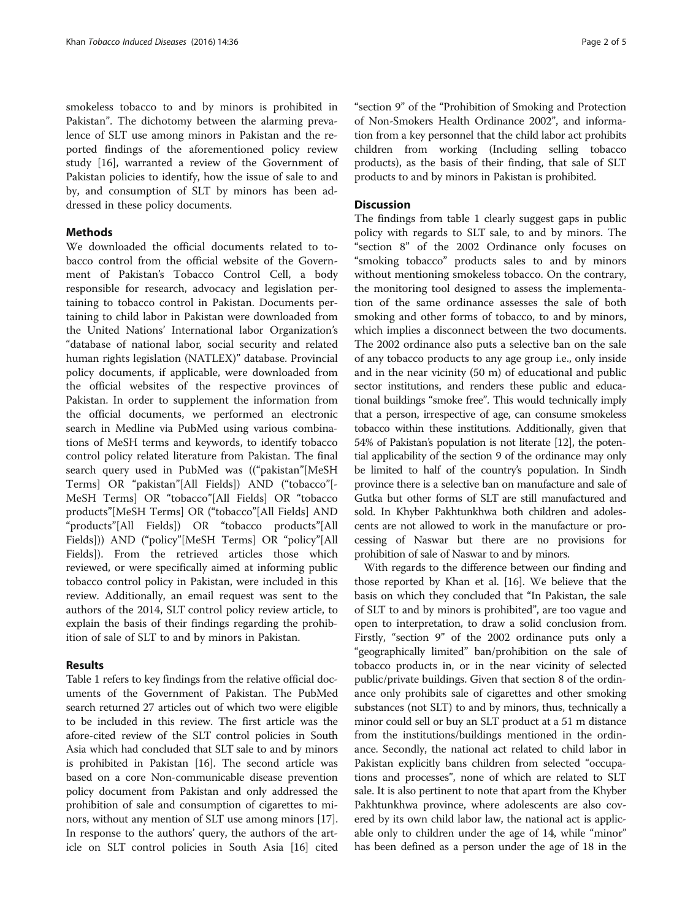smokeless tobacco to and by minors is prohibited in Pakistan". The dichotomy between the alarming prevalence of SLT use among minors in Pakistan and the reported findings of the aforementioned policy review study [[16\]](#page-4-0), warranted a review of the Government of Pakistan policies to identify, how the issue of sale to and by, and consumption of SLT by minors has been addressed in these policy documents.

# Methods

We downloaded the official documents related to tobacco control from the official website of the Government of Pakistan's Tobacco Control Cell, a body responsible for research, advocacy and legislation pertaining to tobacco control in Pakistan. Documents pertaining to child labor in Pakistan were downloaded from the United Nations' International labor Organization's "database of national labor, social security and related human rights legislation (NATLEX)" database. Provincial policy documents, if applicable, were downloaded from the official websites of the respective provinces of Pakistan. In order to supplement the information from the official documents, we performed an electronic search in Medline via PubMed using various combinations of MeSH terms and keywords, to identify tobacco control policy related literature from Pakistan. The final search query used in PubMed was (("pakistan"[MeSH Terms] OR "pakistan"[All Fields]) AND ("tobacco"[- MeSH Terms] OR "tobacco"[All Fields] OR "tobacco products"[MeSH Terms] OR ("tobacco"[All Fields] AND "products"[All Fields]) OR "tobacco products"[All Fields])) AND ("policy"[MeSH Terms] OR "policy"[All Fields]). From the retrieved articles those which reviewed, or were specifically aimed at informing public tobacco control policy in Pakistan, were included in this review. Additionally, an email request was sent to the authors of the 2014, SLT control policy review article, to explain the basis of their findings regarding the prohibition of sale of SLT to and by minors in Pakistan.

# Results

Table [1](#page-2-0) refers to key findings from the relative official documents of the Government of Pakistan. The PubMed search returned 27 articles out of which two were eligible to be included in this review. The first article was the afore-cited review of the SLT control policies in South Asia which had concluded that SLT sale to and by minors is prohibited in Pakistan [[16](#page-4-0)]. The second article was based on a core Non-communicable disease prevention policy document from Pakistan and only addressed the prohibition of sale and consumption of cigarettes to minors, without any mention of SLT use among minors [[17](#page-4-0)]. In response to the authors' query, the authors of the article on SLT control policies in South Asia [[16](#page-4-0)] cited "section 9" of the "Prohibition of Smoking and Protection of Non-Smokers Health Ordinance 2002", and information from a key personnel that the child labor act prohibits children from working (Including selling tobacco products), as the basis of their finding, that sale of SLT products to and by minors in Pakistan is prohibited.

# **Discussion**

The findings from table [1](#page-2-0) clearly suggest gaps in public policy with regards to SLT sale, to and by minors. The "section 8" of the 2002 Ordinance only focuses on "smoking tobacco" products sales to and by minors without mentioning smokeless tobacco. On the contrary, the monitoring tool designed to assess the implementation of the same ordinance assesses the sale of both smoking and other forms of tobacco, to and by minors, which implies a disconnect between the two documents. The 2002 ordinance also puts a selective ban on the sale of any tobacco products to any age group i.e., only inside and in the near vicinity (50 m) of educational and public sector institutions, and renders these public and educational buildings "smoke free". This would technically imply that a person, irrespective of age, can consume smokeless tobacco within these institutions. Additionally, given that 54% of Pakistan's population is not literate [\[12\]](#page-4-0), the potential applicability of the section 9 of the ordinance may only be limited to half of the country's population. In Sindh province there is a selective ban on manufacture and sale of Gutka but other forms of SLT are still manufactured and sold. In Khyber Pakhtunkhwa both children and adolescents are not allowed to work in the manufacture or processing of Naswar but there are no provisions for prohibition of sale of Naswar to and by minors.

With regards to the difference between our finding and those reported by Khan et al. [\[16\]](#page-4-0). We believe that the basis on which they concluded that "In Pakistan, the sale of SLT to and by minors is prohibited", are too vague and open to interpretation, to draw a solid conclusion from. Firstly, "section 9" of the 2002 ordinance puts only a "geographically limited" ban/prohibition on the sale of tobacco products in, or in the near vicinity of selected public/private buildings. Given that section 8 of the ordinance only prohibits sale of cigarettes and other smoking substances (not SLT) to and by minors, thus, technically a minor could sell or buy an SLT product at a 51 m distance from the institutions/buildings mentioned in the ordinance. Secondly, the national act related to child labor in Pakistan explicitly bans children from selected "occupations and processes", none of which are related to SLT sale. It is also pertinent to note that apart from the Khyber Pakhtunkhwa province, where adolescents are also covered by its own child labor law, the national act is applicable only to children under the age of 14, while "minor" has been defined as a person under the age of 18 in the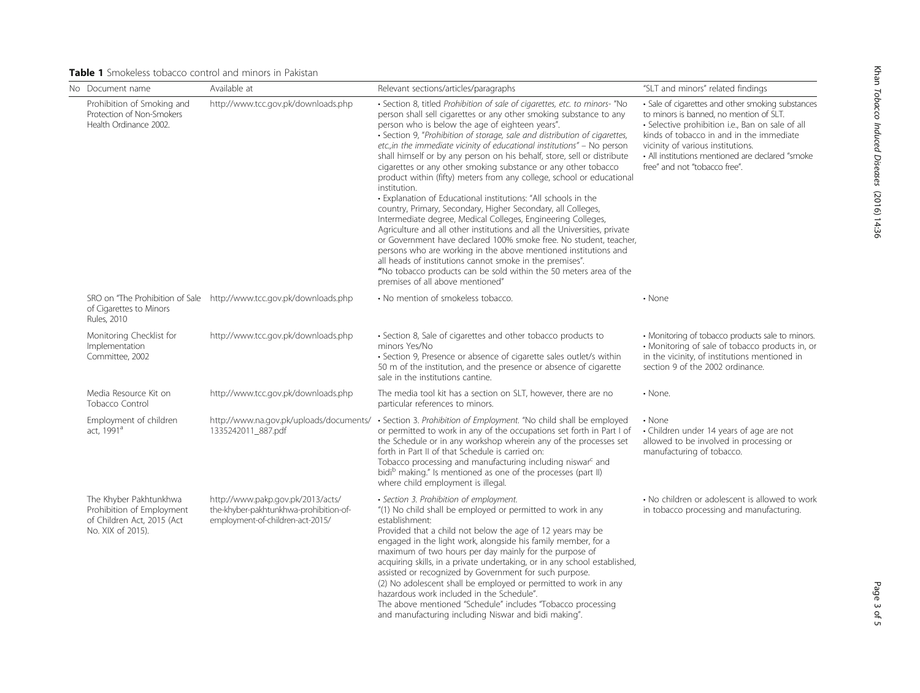# <span id="page-2-0"></span>Table 1 Smokeless tobacco control and minors in Pakistan

| No Document name                                                                                       | Available at                                                                                                    | Relevant sections/articles/paragraphs                                                                                                                                                                                                                                                                                                                                                                                                                                                                                                                                                                                                                                                                                                                                                                                                                                                                                                                                                                                                                                                                                                                                                          | "SLT and minors" related findings                                                                                                                                                                                                                                                                                      |
|--------------------------------------------------------------------------------------------------------|-----------------------------------------------------------------------------------------------------------------|------------------------------------------------------------------------------------------------------------------------------------------------------------------------------------------------------------------------------------------------------------------------------------------------------------------------------------------------------------------------------------------------------------------------------------------------------------------------------------------------------------------------------------------------------------------------------------------------------------------------------------------------------------------------------------------------------------------------------------------------------------------------------------------------------------------------------------------------------------------------------------------------------------------------------------------------------------------------------------------------------------------------------------------------------------------------------------------------------------------------------------------------------------------------------------------------|------------------------------------------------------------------------------------------------------------------------------------------------------------------------------------------------------------------------------------------------------------------------------------------------------------------------|
| Prohibition of Smoking and<br>Protection of Non-Smokers<br>Health Ordinance 2002.                      | http://www.tcc.gov.pk/downloads.php                                                                             | · Section 8, titled Prohibition of sale of cigarettes, etc. to minors- "No<br>person shall sell cigarettes or any other smoking substance to any<br>person who is below the age of eighteen years".<br>· Section 9, "Prohibition of storage, sale and distribution of cigarettes,<br>etc., in the immediate vicinity of educational institutions" - No person<br>shall himself or by any person on his behalf, store, sell or distribute<br>cigarettes or any other smoking substance or any other tobacco<br>product within (fifty) meters from any college, school or educational<br>institution.<br>• Explanation of Educational institutions: "All schools in the<br>country, Primary, Secondary, Higher Secondary, all Colleges,<br>Intermediate degree, Medical Colleges, Engineering Colleges,<br>Agriculture and all other institutions and all the Universities, private<br>or Government have declared 100% smoke free. No student, teacher,<br>persons who are working in the above mentioned institutions and<br>all heads of institutions cannot smoke in the premises".<br>"No tobacco products can be sold within the 50 meters area of the<br>premises of all above mentioned" | • Sale of cigarettes and other smoking substances<br>to minors is banned, no mention of SLT.<br>· Selective prohibition i.e., Ban on sale of all<br>kinds of tobacco in and in the immediate<br>vicinity of various institutions.<br>• All institutions mentioned are declared "smoke<br>free" and not "tobacco free". |
| of Cigarettes to Minors<br>Rules, 2010                                                                 | SRO on "The Prohibition of Sale http://www.tcc.gov.pk/downloads.php                                             | • No mention of smokeless tobacco.                                                                                                                                                                                                                                                                                                                                                                                                                                                                                                                                                                                                                                                                                                                                                                                                                                                                                                                                                                                                                                                                                                                                                             | $\cdot$ None                                                                                                                                                                                                                                                                                                           |
| Monitoring Checklist for<br>Implementation<br>Committee, 2002                                          | http://www.tcc.gov.pk/downloads.php                                                                             | • Section 8, Sale of cigarettes and other tobacco products to<br>minors Yes/No<br>• Section 9, Presence or absence of cigarette sales outlet/s within<br>50 m of the institution, and the presence or absence of cigarette<br>sale in the institutions cantine.                                                                                                                                                                                                                                                                                                                                                                                                                                                                                                                                                                                                                                                                                                                                                                                                                                                                                                                                | • Monitoring of tobacco products sale to minors.<br>• Monitoring of sale of tobacco products in, or<br>in the vicinity, of institutions mentioned in<br>section 9 of the 2002 ordinance.                                                                                                                               |
| Media Resource Kit on<br>Tobacco Control                                                               | http://www.tcc.gov.pk/downloads.php                                                                             | The media tool kit has a section on SLT, however, there are no<br>particular references to minors.                                                                                                                                                                                                                                                                                                                                                                                                                                                                                                                                                                                                                                                                                                                                                                                                                                                                                                                                                                                                                                                                                             | • None.                                                                                                                                                                                                                                                                                                                |
| Employment of children<br>act. 1991 <sup>a</sup>                                                       | http://www.na.gov.pk/uploads/documents/<br>1335242011_887.pdf                                                   | · Section 3. Prohibition of Employment. "No child shall be employed<br>or permitted to work in any of the occupations set forth in Part I of<br>the Schedule or in any workshop wherein any of the processes set<br>forth in Part II of that Schedule is carried on:<br>Tobacco processing and manufacturing including niswar <sup>c</sup> and<br>bidi <sup>b</sup> making." Is mentioned as one of the processes (part II)<br>where child employment is illegal.                                                                                                                                                                                                                                                                                                                                                                                                                                                                                                                                                                                                                                                                                                                              | $\cdot$ None<br>• Children under 14 years of age are not<br>allowed to be involved in processing or<br>manufacturing of tobacco.                                                                                                                                                                                       |
| The Khyber Pakhtunkhwa<br>Prohibition of Employment<br>of Children Act, 2015 (Act<br>No. XIX of 2015). | http://www.pakp.gov.pk/2013/acts/<br>the-khyber-pakhtunkhwa-prohibition-of-<br>employment-of-children-act-2015/ | · Section 3. Prohibition of employment.<br>"(1) No child shall be employed or permitted to work in any<br>establishment:<br>Provided that a child not below the age of 12 years may be<br>engaged in the light work, alongside his family member, for a<br>maximum of two hours per day mainly for the purpose of<br>acquiring skills, in a private undertaking, or in any school established,<br>assisted or recognized by Government for such purpose.<br>(2) No adolescent shall be employed or permitted to work in any<br>hazardous work included in the Schedule".<br>The above mentioned "Schedule" includes "Tobacco processing<br>and manufacturing including Niswar and bidi making".                                                                                                                                                                                                                                                                                                                                                                                                                                                                                                | • No children or adolescent is allowed to work<br>in tobacco processing and manufacturing.                                                                                                                                                                                                                             |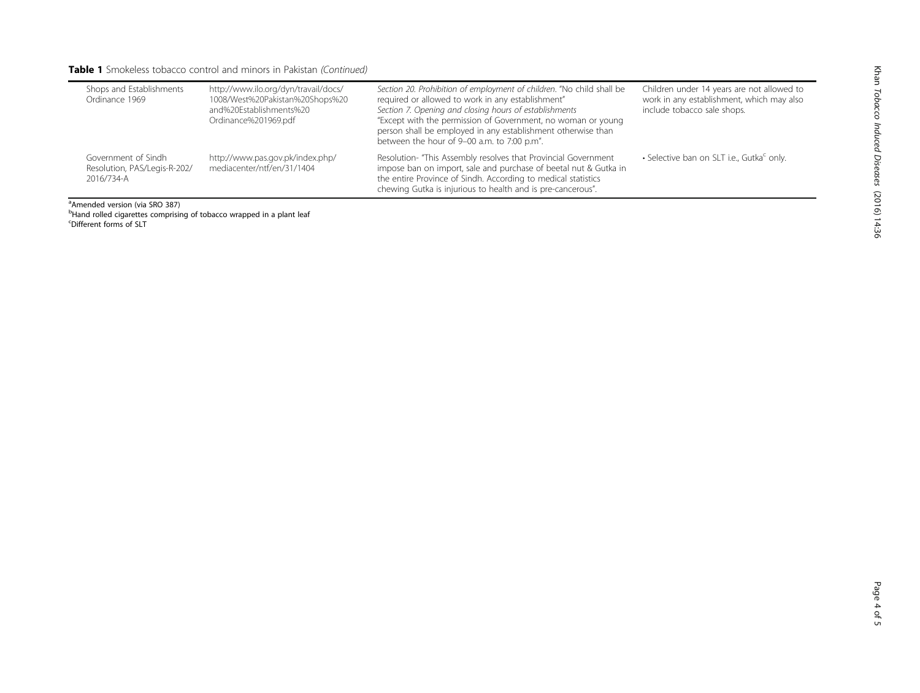# Table 1 Smokeless tobacco control and minors in Pakistan (Continued)

| Shops and Establishments<br>Ordinance 1969                        | http://www.ilo.org/dyn/travail/docs/<br>1008/West%20Pakistan%20Shops%20<br>and%20Establishments%20<br>Ordinance%201969.pdf | Section 20. Prohibition of employment of children. "No child shall be<br>required or allowed to work in any establishment"<br>Section 7. Opening and closing hours of establishments<br>"Except with the permission of Government, no woman or young<br>person shall be employed in any establishment otherwise than<br>between the hour of 9-00 a.m. to 7:00 p.m". | Children under 14 years are not allowed to<br>work in any establishment, which may also<br>include tobacco sale shops. |
|-------------------------------------------------------------------|----------------------------------------------------------------------------------------------------------------------------|---------------------------------------------------------------------------------------------------------------------------------------------------------------------------------------------------------------------------------------------------------------------------------------------------------------------------------------------------------------------|------------------------------------------------------------------------------------------------------------------------|
| Government of Sindh<br>Resolution, PAS/Legis-R-202/<br>2016/734-A | http://www.pas.gov.pk/index.php/<br>mediacenter/ntf/en/31/1404                                                             | Resolution-"This Assembly resolves that Provincial Government<br>impose ban on import, sale and purchase of beetal nut & Gutka in<br>the entire Province of Sindh. According to medical statistics<br>chewing Gutka is injurious to health and is pre-cancerous".                                                                                                   | • Selective ban on SLT i.e., Gutka <sup>c</sup> only.                                                                  |

a Amended version (via SRO 387)

<sup>b</sup>Hand rolled cigarettes comprising of tobacco wrapped in a plant leaf<br><sup>c</sup>Different forms of SLT